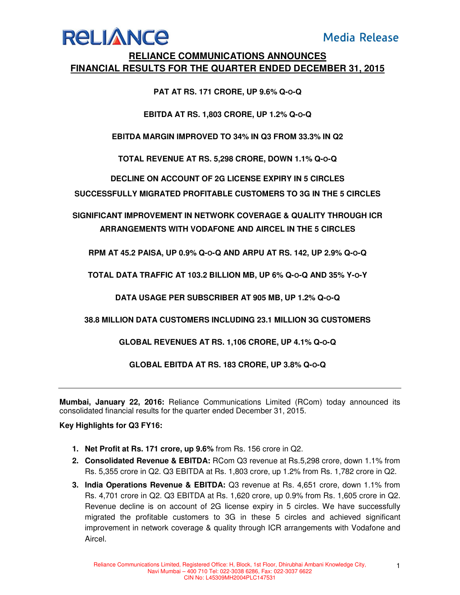## **Media Release**

## **RELIANCE**

### **RELIANCE COMMUNICATIONS ANNOUNCES FINANCIAL RESULTS FOR THE QUARTER ENDED DECEMBER 31, 2015**

#### **PAT AT RS. 171 CRORE, UP 9.6% Q-O-Q**

#### **EBITDA AT RS. 1,803 CRORE, UP 1.2% Q-O-Q**

**EBITDA MARGIN IMPROVED TO 34% IN Q3 FROM 33.3% IN Q2** 

**TOTAL REVENUE AT RS. 5,298 CRORE, DOWN 1.1% Q-O-Q** 

**DECLINE ON ACCOUNT OF 2G LICENSE EXPIRY IN 5 CIRCLES** 

**SUCCESSFULLY MIGRATED PROFITABLE CUSTOMERS TO 3G IN THE 5 CIRCLES** 

**SIGNIFICANT IMPROVEMENT IN NETWORK COVERAGE & QUALITY THROUGH ICR ARRANGEMENTS WITH VODAFONE AND AIRCEL IN THE 5 CIRCLES** 

**RPM AT 45.2 PAISA, UP 0.9% Q-O-Q AND ARPU AT RS. 142, UP 2.9% Q-O-Q**

**TOTAL DATA TRAFFIC AT 103.2 BILLION MB, UP 6% Q-O-Q AND 35% Y-O-Y** 

**DATA USAGE PER SUBSCRIBER AT 905 MB, UP 1.2% Q-O-Q** 

**38.8 MILLION DATA CUSTOMERS INCLUDING 23.1 MILLION 3G CUSTOMERS** 

**GLOBAL REVENUES AT RS. 1,106 CRORE, UP 4.1% Q-O-Q** 

**GLOBAL EBITDA AT RS. 183 CRORE, UP 3.8% Q-O-Q** 

**Mumbai, January 22, 2016:** Reliance Communications Limited (RCom) today announced its consolidated financial results for the quarter ended December 31, 2015.

#### **Key Highlights for Q3 FY16:**

- **1. Net Profit at Rs. 171 crore, up 9.6%** from Rs. 156 crore in Q2.
- **2. Consolidated Revenue & EBITDA:** RCom Q3 revenue at Rs.5,298 crore, down 1.1% from Rs. 5,355 crore in Q2. Q3 EBITDA at Rs. 1,803 crore, up 1.2% from Rs. 1,782 crore in Q2.
- **3. India Operations Revenue & EBITDA:** Q3 revenue at Rs. 4,651 crore, down 1.1% from Rs. 4,701 crore in Q2. Q3 EBITDA at Rs. 1,620 crore, up 0.9% from Rs. 1,605 crore in Q2. Revenue decline is on account of 2G license expiry in 5 circles. We have successfully migrated the profitable customers to 3G in these 5 circles and achieved significant improvement in network coverage & quality through ICR arrangements with Vodafone and Aircel.

1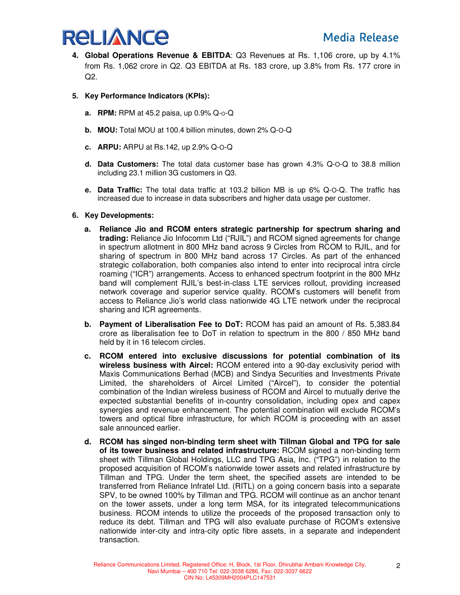

- **4. Global Operations Revenue & EBITDA**: Q3 Revenues at Rs. 1,106 crore, up by 4.1% from Rs. 1,062 crore in Q2. Q3 EBITDA at Rs. 183 crore, up 3.8% from Rs. 177 crore in  $Q2$ .
- **5. Key Performance Indicators (KPIs):** 
	- **a.** RPM: RPM at 45.2 paisa, up  $0.9\%$  Q- $0$ -Q
	- **b. MOU:** Total MOU at 100.4 billion minutes, down 2% Q-O-Q
	- **c. ARPU:** ARPU at Rs.142, up 2.9% Q-O-Q
	- **d. Data Customers:** The total data customer base has grown 4.3% Q-O-Q to 38.8 million including 23.1 million 3G customers in Q3.
	- **e. Data Traffic:** The total data traffic at 103.2 billion MB is up 6% Q-O-Q. The traffic has increased due to increase in data subscribers and higher data usage per customer.
- **6. Key Developments:** 
	- **a. Reliance Jio and RCOM enters strategic partnership for spectrum sharing and trading:** Reliance Jio Infocomm Ltd ("RJIL") and RCOM signed agreements for change in spectrum allotment in 800 MHz band across 9 Circles from RCOM to RJIL, and for sharing of spectrum in 800 MHz band across 17 Circles. As part of the enhanced strategic collaboration, both companies also intend to enter into reciprocal intra circle roaming ("ICR") arrangements. Access to enhanced spectrum footprint in the 800 MHz band will complement RJIL's best-in-class LTE services rollout, providing increased network coverage and superior service quality. RCOM's customers will benefit from access to Reliance Jio's world class nationwide 4G LTE network under the reciprocal sharing and ICR agreements.
	- **b. Payment of Liberalisation Fee to DoT:** RCOM has paid an amount of Rs. 5,383.84 crore as liberalisation fee to DoT in relation to spectrum in the 800 / 850 MHz band held by it in 16 telecom circles.
	- **c. RCOM entered into exclusive discussions for potential combination of its wireless business with Aircel:** RCOM entered into a 90-day exclusivity period with Maxis Communications Berhad (MCB) and Sindya Securities and Investments Private Limited, the shareholders of Aircel Limited ("Aircel"), to consider the potential combination of the Indian wireless business of RCOM and Aircel to mutually derive the expected substantial benefits of in-country consolidation, including opex and capex synergies and revenue enhancement. The potential combination will exclude RCOM's towers and optical fibre infrastructure, for which RCOM is proceeding with an asset sale announced earlier.
	- **d. RCOM has singed non-binding term sheet with Tillman Global and TPG for sale of its tower business and related infrastructure:** RCOM signed a non-binding term sheet with Tillman Global Holdings, LLC and TPG Asia, Inc. ("TPG") in relation to the proposed acquisition of RCOM's nationwide tower assets and related infrastructure by Tillman and TPG. Under the term sheet, the specified assets are intended to be transferred from Reliance Infratel Ltd. (RITL) on a going concern basis into a separate SPV, to be owned 100% by Tillman and TPG. RCOM will continue as an anchor tenant on the tower assets, under a long term MSA, for its integrated telecommunications business. RCOM intends to utilize the proceeds of the proposed transaction only to reduce its debt. Tillman and TPG will also evaluate purchase of RCOM's extensive nationwide inter-city and intra-city optic fibre assets, in a separate and independent transaction.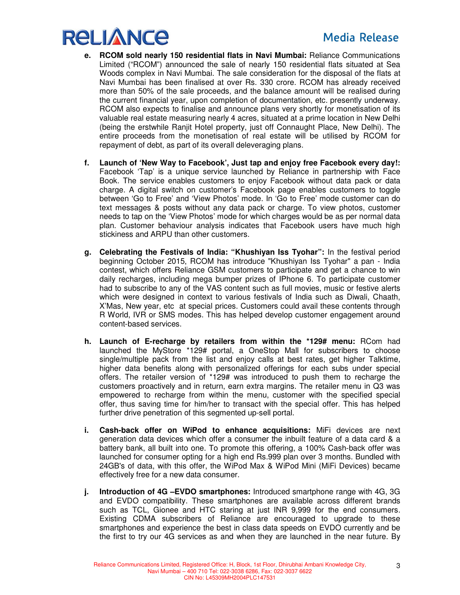# **RELIANCE**

- **e. RCOM sold nearly 150 residential flats in Navi Mumbai:** Reliance Communications Limited ("RCOM") announced the sale of nearly 150 residential flats situated at Sea Woods complex in Navi Mumbai. The sale consideration for the disposal of the flats at Navi Mumbai has been finalised at over Rs. 330 crore. RCOM has already received more than 50% of the sale proceeds, and the balance amount will be realised during the current financial year, upon completion of documentation, etc. presently underway. RCOM also expects to finalise and announce plans very shortly for monetisation of its valuable real estate measuring nearly 4 acres, situated at a prime location in New Delhi (being the erstwhile Ranjit Hotel property, just off Connaught Place, New Delhi). The entire proceeds from the monetisation of real estate will be utilised by RCOM for repayment of debt, as part of its overall deleveraging plans.
- **f. Launch of 'New Way to Facebook', Just tap and enjoy free Facebook every day!:**  Facebook 'Tap' is a unique service launched by Reliance in partnership with Face Book. The service enables customers to enjoy Facebook without data pack or data charge. A digital switch on customer's Facebook page enables customers to toggle between 'Go to Free' and 'View Photos' mode. In 'Go to Free' mode customer can do text messages & posts without any data pack or charge. To view photos, customer needs to tap on the 'View Photos' mode for which charges would be as per normal data plan. Customer behaviour analysis indicates that Facebook users have much high stickiness and ARPU than other customers.
- **g. Celebrating the Festivals of India: "Khushiyan Iss Tyohar":** In the festival period beginning October 2015, RCOM has introduce "Khushiyan Iss Tyohar" a pan - India contest, which offers Reliance GSM customers to participate and get a chance to win daily recharges, including mega bumper prizes of IPhone 6. To participate customer had to subscribe to any of the VAS content such as full movies, music or festive alerts which were designed in context to various festivals of India such as Diwali, Chaath, X'Mas, New year, etc at special prices. Customers could avail these contents through R World, IVR or SMS modes. This has helped develop customer engagement around content-based services.
- **h. Launch of E-recharge by retailers from within the \*129# menu:** RCom had launched the MyStore \*129# portal, a OneStop Mall for subscribers to choose single/multiple pack from the list and enjoy calls at best rates, get higher Talktime, higher data benefits along with personalized offerings for each subs under special offers. The retailer version of \*129# was introduced to push them to recharge the customers proactively and in return, earn extra margins. The retailer menu in Q3 was empowered to recharge from within the menu, customer with the specified special offer, thus saving time for him/her to transact with the special offer. This has helped further drive penetration of this segmented up-sell portal.
- **i. Cash-back offer on WiPod to enhance acquisitions:** MiFi devices are next generation data devices which offer a consumer the inbuilt feature of a data card & a battery bank, all built into one. To promote this offering, a 100% Cash-back offer was launched for consumer opting for a high end Rs.999 plan over 3 months. Bundled with 24GB's of data, with this offer, the WiPod Max & WiPod Mini (MiFi Devices) became effectively free for a new data consumer.
- **j. Introduction of 4G –EVDO smartphones:** Introduced smartphone range with 4G, 3G and EVDO compatibility. These smartphones are available across different brands such as TCL, Gionee and HTC staring at just INR 9,999 for the end consumers. Existing CDMA subscribers of Reliance are encouraged to upgrade to these smartphones and experience the best in class data speeds on EVDO currently and be the first to try our 4G services as and when they are launched in the near future. By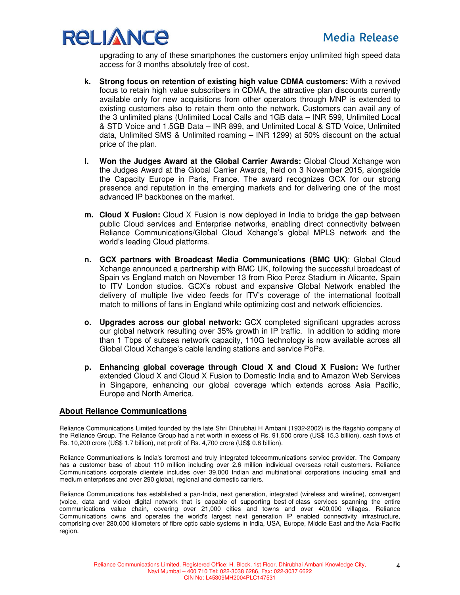

upgrading to any of these smartphones the customers enjoy unlimited high speed data access for 3 months absolutely free of cost.

- **k. Strong focus on retention of existing high value CDMA customers:** With a revived focus to retain high value subscribers in CDMA, the attractive plan discounts currently available only for new acquisitions from other operators through MNP is extended to existing customers also to retain them onto the network. Customers can avail any of the 3 unlimited plans (Unlimited Local Calls and 1GB data – INR 599, Unlimited Local & STD Voice and 1.5GB Data – INR 899, and Unlimited Local & STD Voice, Unlimited data, Unlimited SMS & Unlimited roaming – INR 1299) at 50% discount on the actual price of the plan.
- **l. Won the Judges Award at the Global Carrier Awards:** Global Cloud Xchange won the Judges Award at the Global Carrier Awards, held on 3 November 2015, alongside the Capacity Europe in Paris, France. The award recognizes GCX for our strong presence and reputation in the emerging markets and for delivering one of the most advanced IP backbones on the market.
- **m. Cloud X Fusion:** Cloud X Fusion is now deployed in India to bridge the gap between public Cloud services and Enterprise networks, enabling direct connectivity between Reliance Communications/Global Cloud Xchange's global MPLS network and the world's leading Cloud platforms.
- **n. GCX partners with Broadcast Media Communications (BMC UK)**: Global Cloud Xchange announced a partnership with BMC UK, following the successful broadcast of Spain vs England match on November 13 from Rico Perez Stadium in Alicante, Spain to ITV London studios. GCX's robust and expansive Global Network enabled the delivery of multiple live video feeds for ITV's coverage of the international football match to millions of fans in England while optimizing cost and network efficiencies.
- **o. Upgrades across our global network:** GCX completed significant upgrades across our global network resulting over 35% growth in IP traffic. In addition to adding more than 1 Tbps of subsea network capacity, 110G technology is now available across all Global Cloud Xchange's cable landing stations and service PoPs.
- **p. Enhancing global coverage through Cloud X and Cloud X Fusion:** We further extended Cloud X and Cloud X Fusion to Domestic India and to Amazon Web Services in Singapore, enhancing our global coverage which extends across Asia Pacific, Europe and North America.

#### **About Reliance Communications**

Reliance Communications Limited founded by the late Shri Dhirubhai H Ambani (1932-2002) is the flagship company of the Reliance Group. The Reliance Group had a net worth in excess of Rs. 91,500 crore (US\$ 15.3 billion), cash flows of Rs. 10,200 crore (US\$ 1.7 billion), net profit of Rs. 4,700 crore (US\$ 0.8 billion).

Reliance Communications is India's foremost and truly integrated telecommunications service provider. The Company has a customer base of about 110 million including over 2.6 million individual overseas retail customers. Reliance Communications corporate clientele includes over 39,000 Indian and multinational corporations including small and medium enterprises and over 290 global, regional and domestic carriers.

Reliance Communications has established a pan-India, next generation, integrated (wireless and wireline), convergent (voice, data and video) digital network that is capable of supporting best-of-class services spanning the entire communications value chain, covering over 21,000 cities and towns and over 400,000 villages. Reliance Communications owns and operates the world's largest next generation IP enabled connectivity infrastructure, comprising over 280,000 kilometers of fibre optic cable systems in India, USA, Europe, Middle East and the Asia-Pacific region.

4